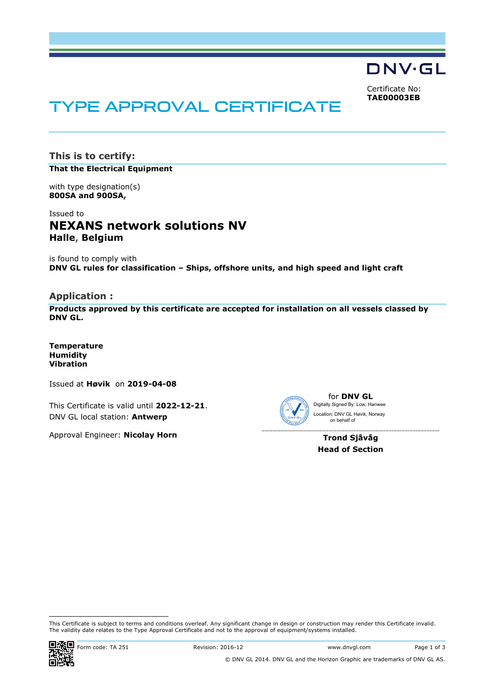DNV·GL

Certificate No: **TAE00003EB**

# TYPE APPROVAL CERTIFICATE

**This is to certify: That the Electrical Equipment**

with type designation(s) **800SA and 900SA,**

Issued to **NEXANS network solutions NV Halle**, **Belgium** 

is found to comply with **DNV GL rules for classification – Ships, offshore units, and high speed and light craft**

**Application :** 

**Products approved by this certificate are accepted for installation on all vessels classed by DNV GL.** 

**Temperature Humidity Vibration**

Issued at **Høvik** on **2019-04-08**

This Certificate is valid until **2022-12-21**. DNV GL local station: **Antwerp**

Approval Engineer: **Nicolay Horn**



------------------------

for **DNV GL** Digitally Signed By: Low, Hanwee Location: DNV GL Høvik, Norway on behalf of

**Trond Sjåvåg Head of Section**

 This Certificate is subject to terms and conditions overleaf. Any significant change in design or construction may render this Certificate invalid. The validity date relates to the Type Approval Certificate and not to the approval of equipment/systems installed.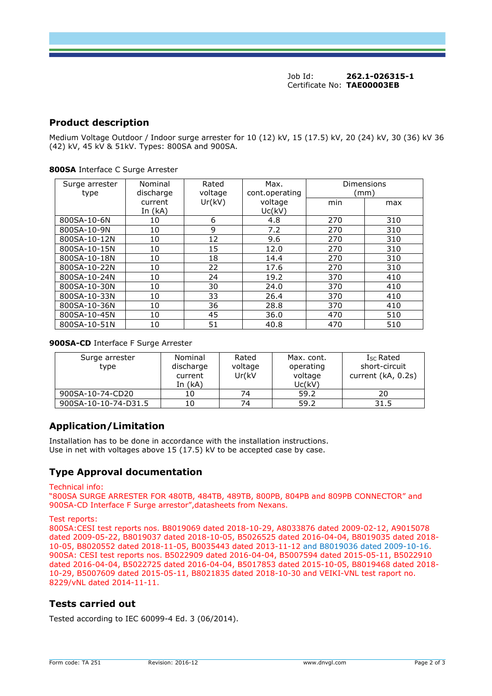Job Id: **262.1-026315-1** Certificate No: **TAE00003EB**

## **Product description**

Medium Voltage Outdoor / Indoor surge arrester for 10 (12) kV, 15 (17.5) kV, 20 (24) kV, 30 (36) kV 36 (42) kV, 45 kV & 51kV. Types: 800SA and 900SA.

| Surge arrester<br>type | Nominal<br>discharge | Rated<br>voltage | Max.<br>cont.operating | Dimensions<br>(mm) |     |
|------------------------|----------------------|------------------|------------------------|--------------------|-----|
|                        | current<br>In $(kA)$ | Ur(kV)           | voltage<br>Uc(kV)      | min                | max |
| 800SA-10-6N            | 10                   | 6                | 4.8                    | 270                | 310 |
| 800SA-10-9N            | 10                   | 9                | 7.2                    | 270                | 310 |
| 800SA-10-12N           | 10                   | 12               | 9.6                    | 270                | 310 |
| 800SA-10-15N           | 10                   | 15               | 12.0                   | 270                | 310 |
| 800SA-10-18N           | 10                   | 18               | 14.4                   | 270                | 310 |
| 800SA-10-22N           | 10                   | 22               | 17.6                   | 270                | 310 |
| 800SA-10-24N           | 10                   | 24               | 19.2                   | 370                | 410 |
| 800SA-10-30N           | 10                   | 30               | 24.0                   | 370                | 410 |
| 800SA-10-33N           | 10                   | 33               | 26.4                   | 370                | 410 |
| 800SA-10-36N           | 10                   | 36               | 28.8                   | 370                | 410 |
| 800SA-10-45N           | 10                   | 45               | 36.0                   | 470                | 510 |
| 800SA-10-51N           | 10                   | 51               | 40.8                   | 470                | 510 |

#### **800SA** Interface C Surge Arrester

#### **900SA-CD** Interface F Surge Arrester

| Surge arrester<br>type | Nominal<br>discharge<br>current<br>In $(kA)$ | Rated<br>voltage<br>Ur(kV | Max. cont.<br>operating<br>voltage<br>Uc(kV) | $I_{SC}$ Rated<br>short-circuit<br>current (kA, 0.2s) |
|------------------------|----------------------------------------------|---------------------------|----------------------------------------------|-------------------------------------------------------|
| 900SA-10-74-CD20       | 10                                           | 74                        | 59.2                                         | 20                                                    |
| 900SA-10-10-74-D31.5   |                                              | 74                        | 59.2                                         | 31.5                                                  |

## **Application/Limitation**

Installation has to be done in accordance with the installation instructions. Use in net with voltages above  $15$  ( $17.5$ ) kV to be accepted case by case.

## **Type Approval documentation**

#### Technical info:

"800SA SURGE ARRESTER FOR 480TB, 484TB, 489TB, 800PB, 804PB and 809PB CONNECTOR" and 900SA-CD Interface F Surge arrestor",datasheets from Nexans.

#### Test reports:

800SA:CESI test reports nos. B8019069 dated 2018-10-29, A8033876 dated 2009-02-12, A9015078 dated 2009-05-22, B8019037 dated 2018-10-05, B5026525 dated 2016-04-04, B8019035 dated 2018- 10-05, B8020552 dated 2018-11-05, B0035443 dated 2013-11-12 and B8019036 dated 2009-10-16. 900SA: CESI test reports nos. B5022909 dated 2016-04-04, B5007594 dated 2015-05-11, B5022910 dated 2016-04-04, B5022725 dated 2016-04-04, B5017853 dated 2015-10-05, B8019468 dated 2018- 10-29, B5007609 dated 2015-05-11, B8021835 dated 2018-10-30 and VEIKI-VNL test raport no. 8229/vNL dated 2014-11-11.

### **Tests carried out**

Tested according to IEC 60099-4 Ed. 3 (06/2014).